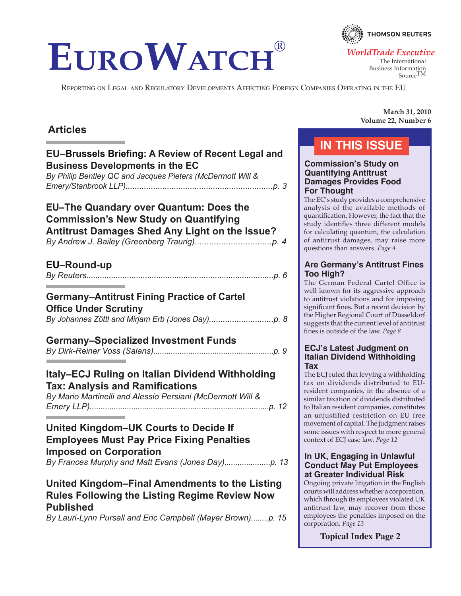# **EUROWATCH**

Reporting on Legal and Regulatory Developments Affecting Foreign Companies Operating in the EU

# **Articles**

# **EU–Brussels Briefing: A Review of Recent Legal and Business Developments in the EC**

*By Philip Bentley QC and Jacques Pieters (McDermott Will & Emery/Stanbrook LLP)................................................................p. 3*

### **EU–The Quandary over Quantum: Does the Commission's New Study on Quantifying Antitrust Damages Shed Any Light on the Issue?** *By Andrew J. Bailey (Greenberg Traurig)................................p. 4*

# **EU–Round-up**

*By Reuters...................................................................................p. 6*

# **Germany–Antitrust Fining Practice of Cartel**

### **Office Under Scrutiny** *By Johannes Zöttl and Mirjam Erb (Jones Day)............................p. 8*

# **Germany–Specialized Investment Funds**

# **Italy–ECJ Ruling on Italian Dividend Withholding Tax: Analysis and Ramifications**

*By Mario Martinelli and Alessio Persiani (McDermott Will & Emery LLP)..................................................................................p. 12*

# **United Kingdom–UK Courts to Decide If Employees Must Pay Price Fixing Penalties Imposed on Corporation**

*By Frances Murphy and Matt Evans (Jones Day).....................p. 13*

# **United Kingdom–Final Amendments to the Listing Rules Following the Listing Regime Review Now Published**

*By Lauri-Lynn Pursall and Eric Campbell (Mayer Brown)........p. 15*

**March 31, 2010 Volume 22, Number 6**

# **In This Issue**

### **Commission's Study on Quantifying Antitrust Damages Provides Food For Thought**

The EC's study provides a comprehensive analysis of the available methods of quantification. However, the fact that the study identifies three different models for calculating quantum, the calculation of antitrust damages, may raise more questions than answers. *Page 4*

### **Are Germany's Antitrust Fines Too High?**

The German Federal Cartel Office is well known for its aggressive approach to antitrust violations and for imposing significant fines. But a recent decision by the Higher Regional Court of Düsseldorf suggests that the current level of antitrust fines is outside of the law. *Page 8*

### **ECJ's Latest Judgment on Italian Dividend Withholding Tax**

The ECJ ruled that levying a withholding tax on dividends distributed to EUresident companies, in the absence of a similar taxation of dividends distributed to Italian resident companies, constitutes an unjustified restriction on EU free movement of capital. The judgment raises some issues with respect to more general context of ECJ case law. *Page 12*

### **In UK, Engaging in Unlawful Conduct May Put Employees at Greater Individual Risk**

Ongoing private litigation in the English courts will address whether a corporation, which through its employees violated UK antitrust law, may recover from those employees the penalties imposed on the corporation. *Page 13*

**Topical Index Page 2**



The International Business Information SourceTM *WorldTrade Executive*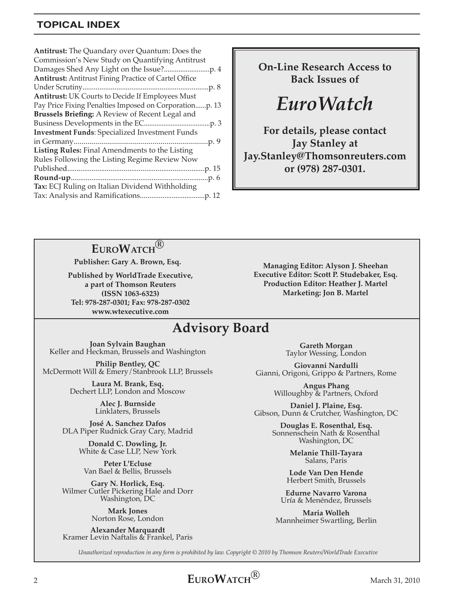# **Topical index**

**On-Line Research Access to Back Issues of**

*EuroWatch*

**For details, please contact Jay Stanley at Jay.Stanley@Thomsonreuters.com or (978) 287-0301.**

# **EuroWatch®**

**Publisher: Gary A. Brown, Esq.**

**Published by WorldTrade Executive, a part of Thomson Reuters (ISSN 1063-6323) Tel: 978-287-0301; Fax: 978-287-0302 www.wtexecutive.com**

**Managing Editor: Alyson J. Sheehan Executive Editor: Scott P. Studebaker, Esq. Production Editor: Heather J. Martel Marketing: Jon B. Martel**

# **Advisory Board**

**Joan Sylvain Baughan** Keller and Heckman, Brussels and Washington

**Philip Bentley, QC** McDermott Will & Emery/Stanbrook LLP, Brussels

> **Laura M. Brank, Esq.** Dechert LLP, London and Moscow

> > **Alec J. Burnside** Linklaters, Brussels

**José A. Sanchez Dafos** DLA Piper Rudnick Gray Cary, Madrid

> **Donald C. Dowling, Jr.** White & Case LLP, New York

**Peter L'Ecluse** Van Bael & Bellis, Brussels

**Gary N. Horlick, Esq.**  Wilmer Cutler Pickering Hale and Dorr Washington, DC

> **Mark Jones** Norton Rose, London

**Alexander Marquardt** Kramer Levin Naftalis & Frankel, Paris

**Gareth Morgan** Taylor Wessing, London

**Giovanni Nardulli** Gianni, Origoni, Grippo & Partners, Rome

**Angus Phang** Willoughby & Partners, Oxford

**Daniel J. Plaine, Esq.** Gibson, Dunn & Crutcher, Washington, DC

> **Douglas E. Rosenthal, Esq.**  Sonnenschein Nath & Rosenthal Washington, DC

> > **Melanie Thill-Tayara**  Salans, Paris

**Lode Van Den Hende** Herbert Smith, Brussels

**Edurne Navarro Varona** Uría & Menéndez, Brussels

**Maria Wolleh** Mannheimer Swartling, Berlin

*Unauthorized reproduction in any form is prohibited by law. Copyright* © *2010 by Thomson Reuters/WorldTrade Executive*

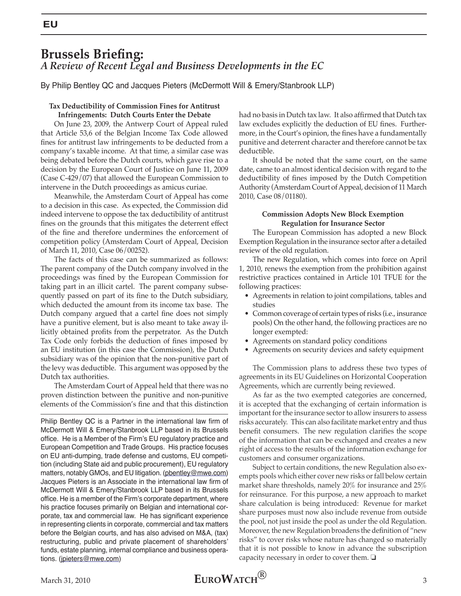# **Brussels Briefing:** *A Review of Recent Legal and Business Developments in the EC*

By Philip Bentley QC and Jacques Pieters (McDermott Will & Emery/Stanbrook LLP)

### **Tax Deductibility of Commission Fines for Antitrust Infringements: Dutch Courts Enter the Debate**

On June 23, 2009, the Antwerp Court of Appeal ruled that Article 53,6 of the Belgian Income Tax Code allowed fines for antitrust law infringements to be deducted from a company's taxable income. At that time, a similar case was being debated before the Dutch courts, which gave rise to a decision by the European Court of Justice on June 11, 2009 (Case C-429/07) that allowed the European Commission to intervene in the Dutch proceedings as amicus curiae.

Meanwhile, the Amsterdam Court of Appeal has come to a decision in this case. As expected, the Commission did indeed intervene to oppose the tax deductibility of antitrust fines on the grounds that this mitigates the deterrent effect of the fine and therefore undermines the enforcement of competition policy (Amsterdam Court of Appeal, Decision of March 11, 2010, Case 06/00252).

The facts of this case can be summarized as follows: The parent company of the Dutch company involved in the proceedings was fined by the European Commission for taking part in an illicit cartel. The parent company subsequently passed on part of its fine to the Dutch subsidiary, which deducted the amount from its income tax base. The Dutch company argued that a cartel fine does not simply have a punitive element, but is also meant to take away illicitly obtained profits from the perpetrator. As the Dutch Tax Code only forbids the deduction of fines imposed by an EU institution (in this case the Commission), the Dutch subsidiary was of the opinion that the non-punitive part of the levy was deductible. This argument was opposed by the Dutch tax authorities.

The Amsterdam Court of Appeal held that there was no proven distinction between the punitive and non-punitive elements of the Commission's fine and that this distinction

Philip Bentley QC is a Partner in the international law firm of McDermott Will & Emery/Stanbrook LLP based in its Brussels office. He is a Member of the Firm's EU regulatory practice and European Competition and Trade Groups. His practice focuses on EU anti-dumping, trade defense and customs, EU competition (including State aid and public procurement), EU regulatory matters, notably GMOs, and EU litigation. (pbentley@mwe.com) Jacques Pieters is an Associate in the international law firm of McDermott Will & Emery/Stanbrook LLP based in its Brussels office. He is a member of the Firm's corporate department, where his practice focuses primarily on Belgian and international corporate, tax and commercial law. He has significant experience in representing clients in corporate, commercial and tax matters before the Belgian courts, and has also advised on M&A, (tax) restructuring, public and private placement of shareholders' funds, estate planning, internal compliance and business operations. (jpieters@mwe.com)

had no basis in Dutch tax law. It also affirmed that Dutch tax law excludes explicitly the deduction of EU fines. Furthermore, in the Court's opinion, the fines have a fundamentally punitive and deterrent character and therefore cannot be tax deductible.

It should be noted that the same court, on the same date, came to an almost identical decision with regard to the deductibility of fines imposed by the Dutch Competition Authority (Amsterdam Court of Appeal, decision of 11 March 2010, Case 08/01180).

### **Commission Adopts New Block Exemption Regulation for Insurance Sector**

The European Commission has adopted a new Block Exemption Regulation in the insurance sector after a detailed review of the old regulation.

The new Regulation, which comes into force on April 1, 2010, renews the exemption from the prohibition against restrictive practices contained in Article 101 TFUE for the following practices:

- Agreements in relation to joint compilations, tables and studies
- Common coverage of certain types of risks (i.e., insurance pools) On the other hand, the following practices are no longer exempted:
- Agreements on standard policy conditions
- Agreements on security devices and safety equipment

The Commission plans to address these two types of agreements in its EU Guidelines on Horizontal Cooperation Agreements, which are currently being reviewed.

As far as the two exempted categories are concerned, it is accepted that the exchanging of certain information is important for the insurance sector to allow insurers to assess risks accurately. This can also facilitate market entry and thus benefit consumers. The new regulation clarifies the scope of the information that can be exchanged and creates a new right of access to the results of the information exchange for customers and consumer organizations.

Subject to certain conditions, the new Regulation also exempts pools which either cover new risks or fall below certain market share thresholds, namely 20% for insurance and 25% for reinsurance. For this purpose, a new approach to market share calculation is being introduced: Revenue for market share purposes must now also include revenue from outside the pool, not just inside the pool as under the old Regulation. Moreover, the new Regulation broadens the definition of "new risks" to cover risks whose nature has changed so materially that it is not possible to know in advance the subscription capacity necessary in order to cover them.  $\Box$ 

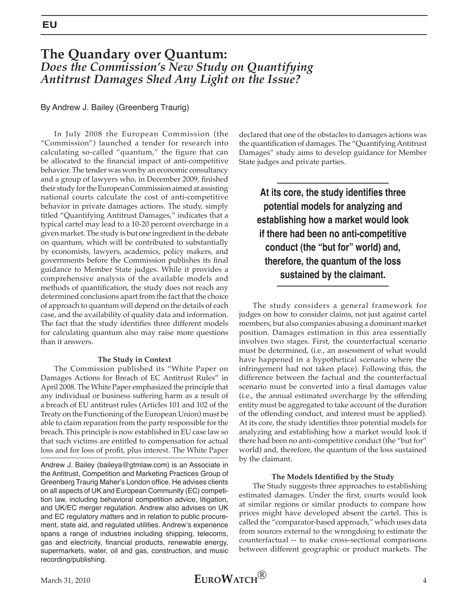# **The Quandary over Quantum:**  *Does the Commission's New Study on Quantifying Antitrust Damages Shed Any Light on the Issue?*

By Andrew J. Bailey (Greenberg Traurig)

In July 2008 the European Commission (the "Commission") launched a tender for research into calculating so-called "quantum," the figure that can be allocated to the financial impact of anti-competitive behavior. The tender was won by an economic consultancy and a group of lawyers who, in December 2009, finished their study for the European Commission aimed at assisting national courts calculate the cost of anti-competitive behavior in private damages actions. The study, simply titled "Quantifying Antitrust Damages," indicates that a typical cartel may lead to a 10-20 percent overcharge in a given market. The study is but one ingredient in the debate on quantum, which will be contributed to substantially by economists, lawyers, academics, policy makers, and governments before the Commission publishes its final guidance to Member State judges. While it provides a comprehensive analysis of the available models and methods of quantification, the study does not reach any determined conclusions apart from the fact that the choice of approach to quantum will depend on the details of each case, and the availability of quality data and information. The fact that the study identifies three different models for calculating quantum also may raise more questions than it answers.

#### **The Study in Context**

The Commission published its "White Paper on Damages Actions for Breach of EC Antitrust Rules" in April 2008. The White Paper emphasized the principle that any individual or business suffering harm as a result of a breach of EU antitrust rules (Articles 101 and 102 of the Treaty on the Functioning of the European Union) must be able to claim reparation from the party responsible for the breach. This principle is now established in EU case law so that such victims are entitled to compensation for actual loss and for loss of profit, plus interest. The White Paper

Andrew J. Bailey (baileya@gtmlaw.com) is an Associate in the Antitrust, Competition and Marketing Practices Group of Greenberg Traurig Maher's London office. He advises clients on all aspects of UK and European Community (EC) competition law, including behavioral competition advice, litigation, and UK/EC merger regulation. Andrew also advises on UK and EC regulatory matters and in relation to public procurement, state aid, and regulated utilities. Andrew's experience spans a range of industries including shipping, telecoms, gas and electricity, financial products, renewable energy, supermarkets, water, oil and gas, construction, and music recording/publishing.

declared that one of the obstacles to damages actions was the quantification of damages. The "Quantifying Antitrust Damages" study aims to develop guidance for Member State judges and private parties.

**At its core, the study identifies three potential models for analyzing and establishing how a market would look if there had been no anti-competitive conduct (the "but for" world) and, therefore, the quantum of the loss sustained by the claimant.**

The study considers a general framework for judges on how to consider claims, not just against cartel members, but also companies abusing a dominant market position. Damages estimation in this area essentially involves two stages. First, the counterfactual scenario must be determined, (i.e., an assessment of what would have happened in a hypothetical scenario where the infringement had not taken place). Following this, the difference between the factual and the counterfactual scenario must be converted into a final damages value (i.e., the annual estimated overcharge by the offending entity must be aggregated to take account of the duration of the offending conduct, and interest must be applied). At its core, the study identifies three potential models for analyzing and establishing how a market would look if there had been no anti-competitive conduct (the "but for" world) and, therefore, the quantum of the loss sustained by the claimant.

#### **The Models Identified by the Study**

The Study suggests three approaches to establishing estimated damages. Under the first, courts would look at similar regions or similar products to compare how prices might have developed absent the cartel. This is called the "comparator-based approach," which uses data from sources external to the wrongdoing to estimate the counterfactual -- to make cross-sectional comparisons between different geographic or product markets. The

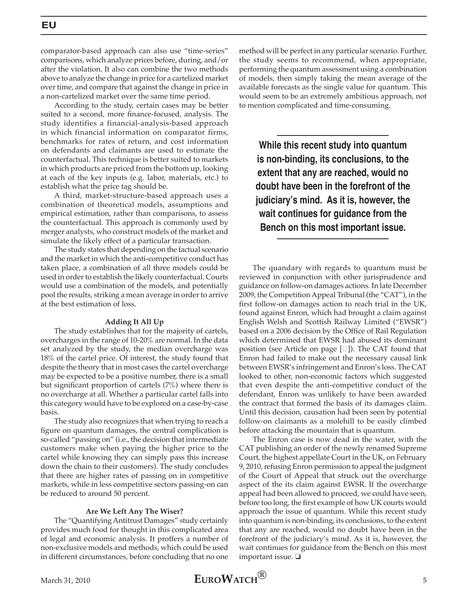comparator-based approach can also use "time-series" comparisons, which analyze prices before, during, and/or after the violation. It also can combine the two methods above to analyze the change in price for a cartelized market over time, and compare that against the change in price in a non-cartelized market over the same time period.

According to the study, certain cases may be better suited to a second, more finance-focused, analysis. The study identifies a financial-analysis-based approach in which financial information on comparator firms, benchmarks for rates of return, and cost information on defendants and claimants are used to estimate the counterfactual. This technique is better suited to markets in which products are priced from the bottom up, looking at each of the key inputs (e.g. labor, materials, etc.) to establish what the price tag should be.

A third, market-structure-based approach uses a combination of theoretical models, assumptions and empirical estimation, rather than comparisons, to assess the counterfactual. This approach is commonly used by merger analysts, who construct models of the market and simulate the likely effect of a particular transaction.

The study states that depending on the factual scenario and the market in which the anti-competitive conduct has taken place, a combination of all three models could be used in order to establish the likely counterfactual. Courts would use a combination of the models, and potentially pool the results, striking a mean average in order to arrive at the best estimation of loss.

### **Adding It All Up**

The study establishes that for the majority of cartels, overcharges in the range of 10-20% are normal. In the data set analyzed by the study, the median overcharge was 18% of the cartel price. Of interest, the study found that despite the theory that in most cases the cartel overcharge may be expected to be a positive number, there is a small but significant proportion of cartels (7%) where there is no overcharge at all. Whether a particular cartel falls into this category would have to be explored on a case-by-case basis.

The study also recognizes that when trying to reach a figure on quantum damages, the central complication is so-called "passing on" (i.e., the decision that intermediate customers make when paying the higher price to the cartel while knowing they can simply pass this increase down the chain to their customers). The study concludes that there are higher rates of passing on in competitive markets, while in less competitive sectors passing-on can be reduced to around 50 percent.

#### **Are We Left Any The Wiser?**

The "Quantifying Antitrust Damages" study certainly provides much food for thought in this complicated area of legal and economic analysis. It proffers a number of non-exclusive models and methods, which could be used in different circumstances, before concluding that no one method will be perfect in any particular scenario. Further, the study seems to recommend, when appropriate, performing the quantum assessment using a combination of models, then simply taking the mean average of the available forecasts as the single value for quantum. This would seem to be an extremely ambitious approach, not to mention complicated and time-consuming.

**While this recent study into quantum is non-binding, its conclusions, to the extent that any are reached, would no doubt have been in the forefront of the judiciary's mind. As it is, however, the wait continues for guidance from the Bench on this most important issue.**

The quandary with regards to quantum must be reviewed in conjunction with other jurisprudence and guidance on follow-on damages actions. In late December 2009, the Competition Appeal Tribunal (the "CAT"), in the first follow-on damages action to reach trial in the UK, found against Enron, which had brought a claim against English Welsh and Scottish Railway Limited ("EWSR") based on a 2006 decision by the Office of Rail Regulation which determined that EWSR had abused its dominant position (see Article on page  $[\Box]$ ). The CAT found that Enron had failed to make out the necessary causal link between EWSR's infringement and Enron's loss. The CAT looked to other, non-economic factors which suggested that even despite the anti-competitive conduct of the defendant, Enron was unlikely to have been awarded the contract that formed the basis of its damages claim. Until this decision, causation had been seen by potential follow-on claimants as a molehill to be easily climbed before attacking the mountain that is quantum.

The Enron case is now dead in the water, with the CAT publishing an order of the newly renamed Supreme Court, the highest appellate Court in the UK, on February 9, 2010, refusing Enron permission to appeal the judgment of the Court of Appeal that struck out the overcharge aspect of the its claim against EWSR. If the overcharge appeal had been allowed to proceed, we could have seen, before too long, the first example of how UK courts would approach the issue of quantum. While this recent study into quantum is non-binding, its conclusions, to the extent that any are reached, would no doubt have been in the forefront of the judiciary's mind. As it is, however, the wait continues for guidance from the Bench on this most important issue.  $\Box$ 

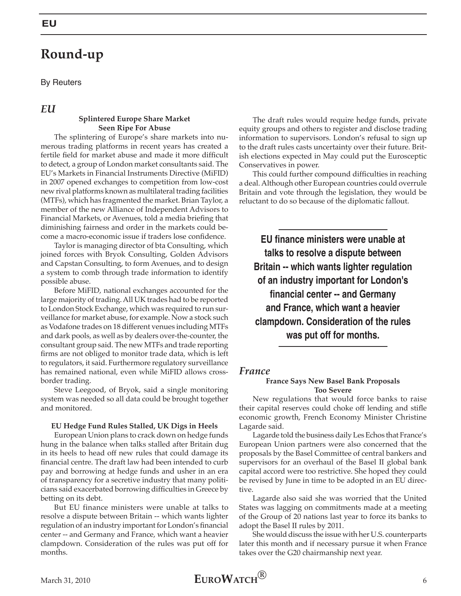# **Round-up**

By Reuters

### *EU*

### **Splintered Europe Share Market Seen Ripe For Abuse**

The splintering of Europe's share markets into numerous trading platforms in recent years has created a fertile field for market abuse and made it more difficult to detect, a group of London market consultants said. The EU's Markets in Financial Instruments Directive (MiFID) in 2007 opened exchanges to competition from low-cost new rival platforms known as multilateral trading facilities (MTFs), which has fragmented the market. Brian Taylor, a member of the new Alliance of Independent Advisors to Financial Markets, or Avenues, told a media briefing that diminishing fairness and order in the markets could become a macro-economic issue if traders lose confidence.

Taylor is managing director of bta Consulting, which joined forces with Bryok Consulting, Golden Advisors and Capstan Consulting, to form Avenues, and to design a system to comb through trade information to identify possible abuse.

Before MiFID, national exchanges accounted for the large majority of trading. All UK trades had to be reported to London Stock Exchange, which was required to run surveillance for market abuse, for example. Now a stock such as Vodafone trades on 18 different venues including MTFs and dark pools, as well as by dealers over-the-counter, the consultant group said. The new MTFs and trade reporting firms are not obliged to monitor trade data, which is left to regulators, it said. Furthermore regulatory surveillance has remained national, even while MiFID allows crossborder trading.

Steve Leegood, of Bryok, said a single monitoring system was needed so all data could be brought together and monitored.

#### **EU Hedge Fund Rules Stalled, UK Digs in Heels**

European Union plans to crack down on hedge funds hung in the balance when talks stalled after Britain dug in its heels to head off new rules that could damage its financial centre. The draft law had been intended to curb pay and borrowing at hedge funds and usher in an era of transparency for a secretive industry that many politicians said exacerbated borrowing difficulties in Greece by betting on its debt.

But EU finance ministers were unable at talks to resolve a dispute between Britain -- which wants lighter regulation of an industry important for London's financial center -- and Germany and France, which want a heavier clampdown. Consideration of the rules was put off for months.

The draft rules would require hedge funds, private equity groups and others to register and disclose trading information to supervisors. London's refusal to sign up to the draft rules casts uncertainty over their future. British elections expected in May could put the Eurosceptic Conservatives in power.

This could further compound difficulties in reaching a deal. Although other European countries could overrule Britain and vote through the legislation, they would be reluctant to do so because of the diplomatic fallout.

**EU finance ministers were unable at talks to resolve a dispute between Britain -- which wants lighter regulation of an industry important for London's financial center -- and Germany and France, which want a heavier clampdown. Consideration of the rules was put off for months.** 

### *France*

### **France Says New Basel Bank Proposals Too Severe**

New regulations that would force banks to raise their capital reserves could choke off lending and stifle economic growth, French Economy Minister Christine Lagarde said.

Lagarde told the business daily Les Echos that France's European Union partners were also concerned that the proposals by the Basel Committee of central bankers and supervisors for an overhaul of the Basel II global bank capital accord were too restrictive. She hoped they could be revised by June in time to be adopted in an EU directive.

Lagarde also said she was worried that the United States was lagging on commitments made at a meeting of the Group of 20 nations last year to force its banks to adopt the Basel II rules by 2011.

She would discuss the issue with her U.S. counterparts later this month and if necessary pursue it when France takes over the G20 chairmanship next year.

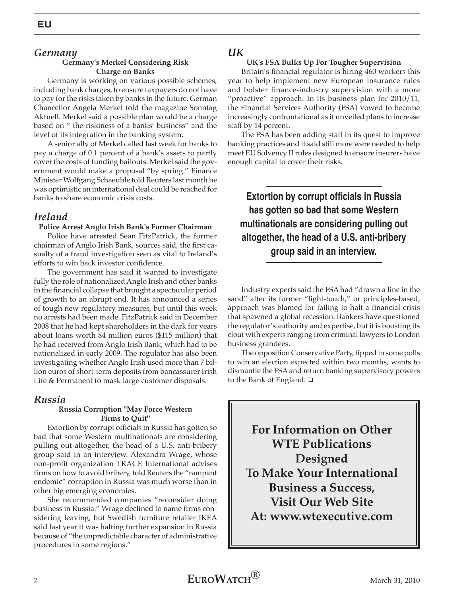### *Germany*

### **Germany's Merkel Considering Risk Charge on Banks**

Germany is working on various possible schemes, including bank charges, to ensure taxpayers do not have to pay for the risks taken by banks in the future, German Chancellor Angela Merkel told the magazine Sonntag Aktuell. Merkel said a possible plan would be a charge based on " the riskiness of a banks' business" and the level of its integration in the banking system.

A senior ally of Merkel called last week for banks to pay a charge of 0.1 percent of a bank's assets to partly cover the costs of funding bailouts. Merkel said the government would make a proposal "by spring." Finance Minister Wolfgang Schaeuble told Reuters last month he was optimistic an international deal could be reached for banks to share economic crisis costs.

### *Ireland*

### **Police Arrest Anglo Irish Bank's Former Chairman**

Police have arrested Sean FitzPatrick, the former chairman of Anglo Irish Bank, sources said, the first casualty of a fraud investigation seen as vital to Ireland's efforts to win back investor confidence.

The government has said it wanted to investigate fully the role of nationalized Anglo Irish and other banks in the financial collapse that brought a spectacular period of growth to an abrupt end. It has announced a series of tough new regulatory measures, but until this week no arrests had been made. FitzPatrick said in December 2008 that he had kept shareholders in the dark for years about loans worth 84 million euros (\$115 million) that he had received from Anglo Irish Bank, which had to be nationalized in early 2009. The regulator has also been investigating whether Anglo Irish used more than 7 billion euros of short-term deposits from bancassurer Irish Life & Permanent to mask large customer disposals.

### *Russia*

### **Russia Corruption "May Force Western Firms to Quit"**

Extortion by corrupt officials in Russia has gotten so bad that some Western multinationals are considering pulling out altogether, the head of a U.S. anti-bribery group said in an interview. Alexandra Wrage, whose non-profit organization TRACE International advises firms on how to avoid bribery, told Reuters the "rampant endemic" corruption in Russia was much worse than in other big emerging economies.

She recommended companies "reconsider doing business in Russia." Wrage declined to name firms considering leaving, but Swedish furniture retailer IKEA said last year it was halting further expansion in Russia because of "the unpredictable character of administrative procedures in some regions."

### *UK*

### **UK's FSA Bulks Up For Tougher Supervision**

Britain's financial regulator is hiring 460 workers this year to help implement new European insurance rules and bolster finance-industry supervision with a more "proactive" approach. In its business plan for 2010/11, the Financial Services Authority (FSA) vowed to become increasingly confrontational as it unveiled plans to increase staff by 14 percent.

The FSA has been adding staff in its quest to improve banking practices and it said still more were needed to help meet EU Solvency II rules designed to ensure insurers have enough capital to cover their risks.

**Extortion by corrupt officials in Russia has gotten so bad that some Western multinationals are considering pulling out altogether, the head of a U.S. anti-bribery group said in an interview.**

Industry experts said the FSA had "drawn a line in the sand" after its former "light-touch," or principles-based, approach was blamed for failing to halt a financial crisis that spawned a global recession. Bankers have questioned the regulator's authority and expertise, but it is boosting its clout with experts ranging from criminal lawyers to London business grandees.

The opposition Conservative Party, tipped in some polls to win an election expected within two months, wants to dismantle the FSA and return banking supervisory powers to the Bank of England.  $\square$ 

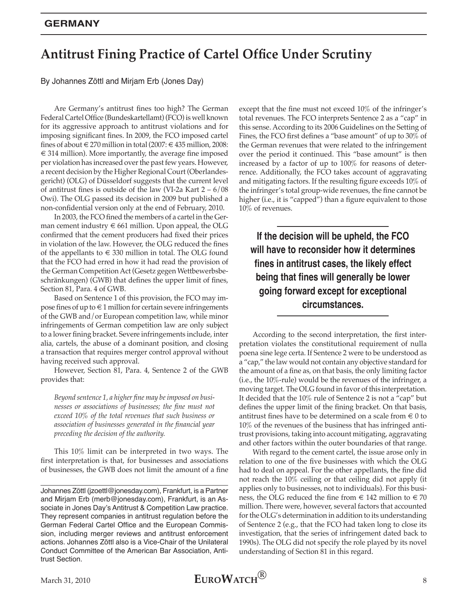# **Antitrust Fining Practice of Cartel Office Under Scrutiny**

By Johannes Zöttl and Mirjam Erb (Jones Day)

Are Germany's antitrust fines too high? The German Federal Cartel Office (Bundeskartellamt) (FCO) is well known for its aggressive approach to antitrust violations and for imposing significant fines. In 2009, the FCO imposed cartel fines of about € 270 million in total (2007: € 435 million, 2008:  $\epsilon$  314 million). More importantly, the average fine imposed per violation has increased over the past few years. However, a recent decision by the Higher Regional Court (Oberlandesgericht) (OLG) of Düsseldorf suggests that the current level of antitrust fines is outside of the law (VI-2a Kart  $2 - 6/08$ Owi). The OLG passed its decision in 2009 but published a non-confidential version only at the end of February, 2010.

In 2003, the FCO fined the members of a cartel in the German cement industry  $\in$  661 million. Upon appeal, the OLG confirmed that the cement producers had fixed their prices in violation of the law. However, the OLG reduced the fines of the appellants to  $\epsilon$  330 million in total. The OLG found that the FCO had erred in how it had read the provision of the German Competition Act (Gesetz gegen Wettbewerbsbeschränkungen) (GWB) that defines the upper limit of fines, Section 81, Para. 4 of GWB.

Based on Sentence 1 of this provision, the FCO may impose fines of up to  $\in$  1 million for certain severe infringements of the GWB and/or European competition law, while minor infringements of German competition law are only subject to a lower fining bracket. Severe infringements include, inter alia, cartels, the abuse of a dominant position, and closing a transaction that requires merger control approval without having received such approval.

However, Section 81, Para. 4, Sentence 2 of the GWB provides that:

*Beyond sentence 1, a higher fine may be imposed on businesses or associations of businesses; the fine must not exceed 10% of the total revenues that such business or association of businesses generated in the financial year preceding the decision of the authority.*

This 10% limit can be interpreted in two ways. The first interpretation is that, for businesses and associations of businesses, the GWB does not limit the amount of a fine

except that the fine must not exceed 10% of the infringer's total revenues. The FCO interprets Sentence 2 as a "cap" in this sense. According to its 2006 Guidelines on the Setting of Fines, the FCO first defines a "base amount" of up to 30% of the German revenues that were related to the infringement over the period it continued. This "base amount" is then increased by a factor of up to 100% for reasons of deterrence. Additionally, the FCO takes account of aggravating and mitigating factors. If the resulting figure exceeds 10% of the infringer's total group-wide revenues, the fine cannot be higher (i.e., it is "capped") than a figure equivalent to those 10% of revenues.

**If the decision will be upheld, the FCO will have to reconsider how it determines fines in antitrust cases, the likely effect being that fines will generally be lower going forward except for exceptional circumstances.** 

According to the second interpretation, the first interpretation violates the constitutional requirement of nulla poena sine lege certa. If Sentence 2 were to be understood as a "cap," the law would not contain any objective standard for the amount of a fine as, on that basis, the only limiting factor (i.e., the 10%-rule) would be the revenues of the infringer, a moving target. The OLG found in favor of this interpretation. It decided that the 10% rule of Sentence 2 is not a "cap" but defines the upper limit of the fining bracket. On that basis, antitrust fines have to be determined on a scale from  $\in 0$  to 10% of the revenues of the business that has infringed antitrust provisions, taking into account mitigating, aggravating and other factors within the outer boundaries of that range.

With regard to the cement cartel, the issue arose only in relation to one of the five businesses with which the OLG had to deal on appeal. For the other appellants, the fine did not reach the 10% ceiling or that ceiling did not apply (it applies only to businesses, not to individuals). For this business, the OLG reduced the fine from  $\epsilon$  142 million to  $\epsilon$  70 million. There were, however, several factors that accounted for the OLG's determination in addition to its understanding of Sentence 2 (e.g., that the FCO had taken long to close its investigation, that the series of infringement dated back to 1990s). The OLG did not specify the role played by its novel understanding of Section 81 in this regard.



Johannes Zöttl (jzoettl@jonesday.com), Frankfurt, is a Partner and Mirjam Erb (merb@jonesday.com), Frankfurt, is an Associate in Jones Day's Antitrust & Competition Law practice. They represent companies in antitrust regulation before the German Federal Cartel Office and the European Commission, including merger reviews and antitrust enforcement actions. Johannes Zöttl also is a Vice-Chair of the Unilateral Conduct Committee of the American Bar Association, Antitrust Section.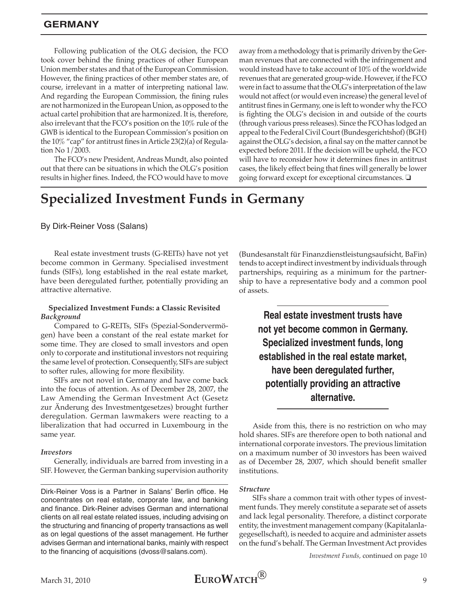### **Germany**

Following publication of the OLG decision, the FCO took cover behind the fining practices of other European Union member states and that of the European Commission. However, the fining practices of other member states are, of course, irrelevant in a matter of interpreting national law. And regarding the European Commission, the fining rules are not harmonized in the European Union, as opposed to the actual cartel prohibition that are harmonized. It is, therefore, also irrelevant that the FCO's position on the 10% rule of the GWB is identical to the European Commission's position on the 10% "cap" for antitrust fines in Article 23(2)(a) of Regulation No 1/2003.

The FCO's new President, Andreas Mundt, also pointed out that there can be situations in which the OLG's position results in higher fines. Indeed, the FCO would have to move away from a methodology that is primarily driven by the German revenues that are connected with the infringement and would instead have to take account of 10% of the worldwide revenues that are generated group-wide. However, if the FCO were in fact to assume that the OLG's interpretation of the law would not affect (or would even increase) the general level of antitrust fines in Germany, one is left to wonder why the FCO is fighting the OLG's decision in and outside of the courts (through various press releases). Since the FCO has lodged an appeal to the Federal Civil Court (Bundesgerichtshof) (BGH) against the OLG's decision, a final say on the matter cannot be expected before 2011. If the decision will be upheld, the FCO will have to reconsider how it determines fines in antitrust cases, the likely effect being that fines will generally be lower going forward except for exceptional circumstances.  $\square$ 

# **Specialized Investment Funds in Germany**

By Dirk-Reiner Voss (Salans)

Real estate investment trusts (G-REITs) have not yet become common in Germany. Specialised investment funds (SIFs), long established in the real estate market, have been deregulated further, potentially providing an attractive alternative.

#### **Specialized Investment Funds: a Classic Revisited** *Background*

Compared to G-REITs, SIFs (Spezial-Sondervermögen) have been a constant of the real estate market for some time. They are closed to small investors and open only to corporate and institutional investors not requiring the same level of protection. Consequently, SIFs are subject to softer rules, allowing for more flexibility.

SIFs are not novel in Germany and have come back into the focus of attention. As of December 28, 2007, the Law Amending the German Investment Act (Gesetz zur Änderung des Investmentgesetzes) brought further deregulation. German lawmakers were reacting to a liberalization that had occurred in Luxembourg in the same year.

#### *Investors*

Generally, individuals are barred from investing in a SIF. However, the German banking supervision authority

Dirk-Reiner Voss is a Partner in Salans' Berlin office. He concentrates on real estate, corporate law, and banking and finance. Dirk-Reiner advises German and international clients on all real estate related issues, including advising on the structuring and financing of property transactions as well as on legal questions of the asset management. He further advises German and international banks, mainly with respect to the financing of acquisitions (dvoss@salans.com).

(Bundesanstalt für Finanzdienstleistungsaufsicht, BaFin) tends to accept indirect investment by individuals through partnerships, requiring as a minimum for the partnership to have a representative body and a common pool of assets.

> **Real estate investment trusts have not yet become common in Germany. Specialized investment funds, long established in the real estate market, have been deregulated further, potentially providing an attractive alternative.**

Aside from this, there is no restriction on who may hold shares. SIFs are therefore open to both national and international corporate investors. The previous limitation on a maximum number of 30 investors has been waived as of December 28, 2007, which should benefit smaller institutions.

#### *Structure*

SIFs share a common trait with other types of investment funds. They merely constitute a separate set of assets and lack legal personality. Therefore, a distinct corporate entity, the investment management company (Kapitalanlagegesellschaft), is needed to acquire and administer assets on the fund's behalf. The German Investment Act provides

*Investment Funds,* continued on page 10

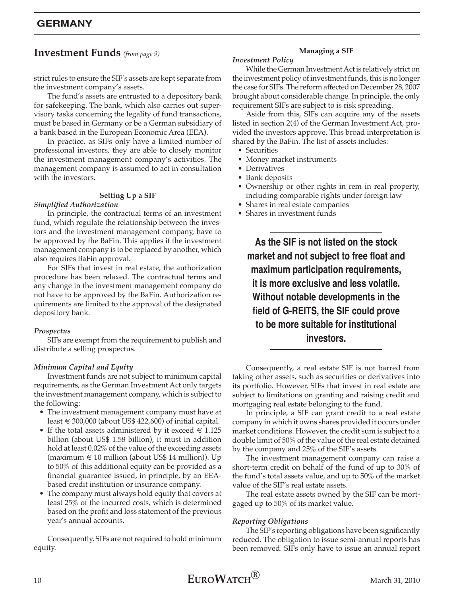### **Investment Funds** *(from page 9)*

strict rules to ensure the SIF's assets are kept separate from the investment company's assets.

The fund's assets are entrusted to a depository bank for safekeeping. The bank, which also carries out supervisory tasks concerning the legality of fund transactions, must be based in Germany or be a German subsidiary of a bank based in the European Economic Area (EEA).

In practice, as SIFs only have a limited number of professional investors, they are able to closely monitor the investment management company's activities. The management company is assumed to act in consultation with the investors.

### **Setting Up a SIF**

#### *Simplified Authorization*

In principle, the contractual terms of an investment fund, which regulate the relationship between the investors and the investment management company, have to be approved by the BaFin. This applies if the investment management company is to be replaced by another, which also requires BaFin approval.

For SIFs that invest in real estate, the authorization procedure has been relaxed. The contractual terms and any change in the investment management company do not have to be approved by the BaFin. Authorization requirements are limited to the approval of the designated depository bank.

### *Prospectus*

SIFs are exempt from the requirement to publish and distribute a selling prospectus.

### *Minimum Capital and Equity*

Investment funds are not subject to minimum capital requirements, as the German Investment Act only targets the investment management company, which is subject to the following:

- The investment management company must have at least  $\in$  300,000 (about US\$ 422,600) of initial capital.
- If the total assets administered by it exceed  $\in 1.125$ billion (about US\$ 1.58 billion), it must in addition hold at least 0.02% of the value of the exceeding assets (maximum  $\in$  10 million (about US\$ 14 million)). Up to 50% of this additional equity can be provided as a financial guarantee issued, in principle, by an EEAbased credit institution or insurance company.
- The company must always hold equity that covers at least 25% of the incurred costs, which is determined based on the profit and loss statement of the previous year's annual accounts.

Consequently, SIFs are not required to hold minimum equity.

### **Managing a SIF**

### *Investment Policy*

While the German Investment Act is relatively strict on the investment policy of investment funds, this is no longer the case for SIFs. The reform affected on December 28, 2007 brought about considerable change. In principle, the only requirement SIFs are subject to is risk spreading.

Aside from this, SIFs can acquire any of the assets listed in section 2(4) of the German Investment Act, provided the investors approve. This broad interpretation is shared by the BaFin. The list of assets includes:

- Securities
- Money market instruments
- Derivatives
- Bank deposits
- Ownership or other rights in rem in real property, including comparable rights under foreign law
- Shares in real estate companies
- Shares in investment funds

**As the SIF is not listed on the stock market and not subject to free float and maximum participation requirements, it is more exclusive and less volatile. Without notable developments in the field of G-REITS, the SIF could prove to be more suitable for institutional investors.**

Consequently, a real estate SIF is not barred from taking other assets, such as securities or derivatives into its portfolio. However, SIFs that invest in real estate are subject to limitations on granting and raising credit and mortgaging real estate belonging to the fund.

In principle, a SIF can grant credit to a real estate company in which it owns shares provided it occurs under market conditions. However, the credit sum is subject to a double limit of 50% of the value of the real estate detained by the company and 25% of the SIF's assets.

The investment management company can raise a short-term credit on behalf of the fund of up to 30% of the fund's total assets value, and up to 50% of the market value of the SIF's real estate assets.

The real estate assets owned by the SIF can be mortgaged up to 50% of its market value.

### *Reporting Obligations*

The SIF's reporting obligations have been significantly reduced. The obligation to issue semi-annual reports has been removed. SIFs only have to issue an annual report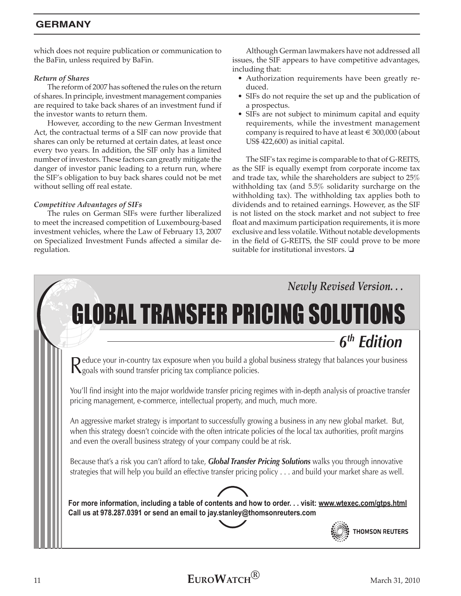### **Germany**

which does not require publication or communication to the BaFin, unless required by BaFin.

### *Return of Shares*

The reform of 2007 has softened the rules on the return of shares. In principle, investment management companies are required to take back shares of an investment fund if the investor wants to return them.

However, according to the new German Investment Act, the contractual terms of a SIF can now provide that shares can only be returned at certain dates, at least once every two years. In addition, the SIF only has a limited number of investors. These factors can greatly mitigate the danger of investor panic leading to a return run, where the SIF's obligation to buy back shares could not be met without selling off real estate.

### *Competitive Advantages of SIFs*

The rules on German SIFs were further liberalized to meet the increased competition of Luxembourg-based investment vehicles, where the Law of February 13, 2007 on Specialized Investment Funds affected a similar deregulation.

Although German lawmakers have not addressed all issues, the SIF appears to have competitive advantages, including that:

- Authorization requirements have been greatly reduced.
- SIFs do not require the set up and the publication of a prospectus.
- SIFs are not subject to minimum capital and equity requirements, while the investment management company is required to have at least  $\in$  300,000 (about US\$ 422,600) as initial capital.

The SIF's tax regime is comparable to that of G-REITS, as the SIF is equally exempt from corporate income tax and trade tax, while the shareholders are subject to 25% withholding tax (and 5.5% solidarity surcharge on the withholding tax). The withholding tax applies both to dividends and to retained earnings. However, as the SIF is not listed on the stock market and not subject to free float and maximum participation requirements, it is more exclusive and less volatile. Without notable developments in the field of G-REITS, the SIF could prove to be more suitable for institutional investors.  $\Box$ 

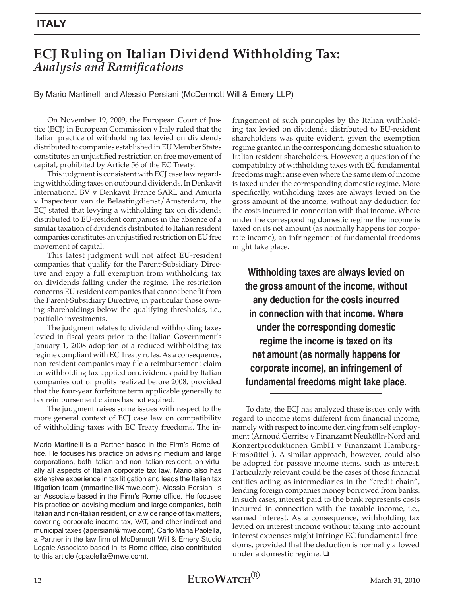# **ECJ Ruling on Italian Dividend Withholding Tax:**  *Analysis and Ramifications*

By Mario Martinelli and Alessio Persiani (McDermott Will & Emery LLP)

On November 19, 2009, the European Court of Justice (ECJ) in European Commission v Italy ruled that the Italian practice of withholding tax levied on dividends distributed to companies established in EU Member States constitutes an unjustified restriction on free movement of capital, prohibited by Article 56 of the EC Treaty.

This judgment is consistent with ECJ case law regarding withholding taxes on outbound dividends. In Denkavit International BV v Denkavit France SARL and Amurta v Inspecteur van de Belastingdienst/Amsterdam, the ECJ stated that levying a withholding tax on dividends distributed to EU-resident companies in the absence of a similar taxation of dividends distributed to Italian resident companies constitutes an unjustified restriction on EU free movement of capital.

This latest judgment will not affect EU-resident companies that qualify for the Parent-Subsidiary Directive and enjoy a full exemption from withholding tax on dividends falling under the regime. The restriction concerns EU resident companies that cannot benefit from the Parent-Subsidiary Directive, in particular those owning shareholdings below the qualifying thresholds, i.e., portfolio investments.

The judgment relates to dividend withholding taxes levied in fiscal years prior to the Italian Government's January 1, 2008 adoption of a reduced withholding tax regime compliant with EC Treaty rules. As a consequence, non-resident companies may file a reimbursement claim for withholding tax applied on dividends paid by Italian companies out of profits realized before 2008, provided that the four-year forfeiture term applicable generally to tax reimbursement claims has not expired.

The judgment raises some issues with respect to the more general context of ECJ case law on compatibility of withholding taxes with EC Treaty freedoms. The in-

Mario Martinelli is a Partner based in the Firm's Rome office. He focuses his practice on advising medium and large corporations, both Italian and non-Italian resident, on virtually all aspects of Italian corporate tax law. Mario also has extensive experience in tax litigation and leads the Italian tax litigation team (mmartinelli@mwe.com). Alessio Persiani is an Associate based in the Firm's Rome office. He focuses his practice on advising medium and large companies, both Italian and non-Italian resident, on a wide range of tax matters, covering corporate income tax, VAT, and other indirect and municipal taxes (apersiani@mwe.com). Carlo Maria Paolella, a Partner in the law firm of McDermott Will & Emery Studio Legale Associato based in its Rome office, also contributed to this article (cpaolella@mwe.com).

fringement of such principles by the Italian withholding tax levied on dividends distributed to EU-resident shareholders was quite evident, given the exemption regime granted in the corresponding domestic situation to Italian resident shareholders. However, a question of the compatibility of withholding taxes with EC fundamental freedoms might arise even where the same item of income is taxed under the corresponding domestic regime. More specifically, withholding taxes are always levied on the gross amount of the income, without any deduction for the costs incurred in connection with that income. Where under the corresponding domestic regime the income is taxed on its net amount (as normally happens for corporate income), an infringement of fundamental freedoms might take place.

**Withholding taxes are always levied on the gross amount of the income, without any deduction for the costs incurred in connection with that income. Where under the corresponding domestic regime the income is taxed on its net amount (as normally happens for corporate income), an infringement of fundamental freedoms might take place.** 

To date, the ECJ has analyzed these issues only with regard to income items different from financial income, namely with respect to income deriving from self employment (Arnoud Gerritse v Finanzamt Neukölln-Nord and Konzertproduktionen GmbH v Finanzamt Hamburg-Eimsbüttel ). A similar approach, however, could also be adopted for passive income items, such as interest. Particularly relevant could be the cases of those financial entities acting as intermediaries in the "credit chain", lending foreign companies money borrowed from banks. In such cases, interest paid to the bank represents costs incurred in connection with the taxable income, i.e., earned interest. As a consequence, withholding tax levied on interest income without taking into account interest expenses might infringe EC fundamental freedoms, provided that the deduction is normally allowed under a domestic regime.  $\square$ 

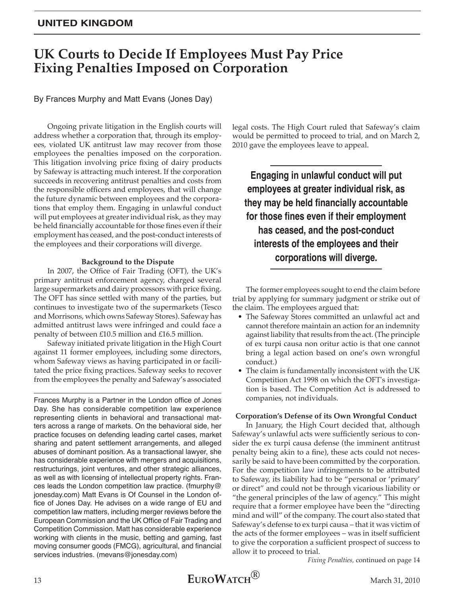### **United Kingdom**

# **UK Courts to Decide If Employees Must Pay Price Fixing Penalties Imposed on Corporation**

By Frances Murphy and Matt Evans (Jones Day)

Ongoing private litigation in the English courts will address whether a corporation that, through its employees, violated UK antitrust law may recover from those employees the penalties imposed on the corporation. This litigation involving price fixing of dairy products by Safeway is attracting much interest. If the corporation succeeds in recovering antitrust penalties and costs from the responsible officers and employees, that will change the future dynamic between employees and the corporations that employ them. Engaging in unlawful conduct will put employees at greater individual risk, as they may be held financially accountable for those fines even if their employment has ceased, and the post-conduct interests of the employees and their corporations will diverge.

### **Background to the Dispute**

In 2007, the Office of Fair Trading (OFT), the UK's primary antitrust enforcement agency, charged several large supermarkets and dairy processors with price fixing. The OFT has since settled with many of the parties, but continues to investigate two of the supermarkets (Tesco and Morrisons, which owns Safeway Stores). Safeway has admitted antitrust laws were infringed and could face a penalty of between £10.5 million and £16.5 million.

Safeway initiated private litigation in the High Court against 11 former employees, including some directors, whom Safeway views as having participated in or facilitated the price fixing practices. Safeway seeks to recover from the employees the penalty and Safeway's associated

Frances Murphy is a Partner in the London office of Jones Day. She has considerable competition law experience representing clients in behavioral and transactional matters across a range of markets. On the behavioral side, her practice focuses on defending leading cartel cases, market sharing and patent settlement arrangements, and alleged abuses of dominant position. As a transactional lawyer, she has considerable experience with mergers and acquisitions, restructurings, joint ventures, and other strategic alliances, as well as with licensing of intellectual property rights. Frances leads the London competition law practice. (fmurphy@ jonesday.com) Matt Evans is Of Counsel in the London office of Jones Day. He advises on a wide range of EU and competition law matters, including merger reviews before the European Commission and the UK Office of Fair Trading and Competition Commission. Matt has considerable experience working with clients in the music, betting and gaming, fast moving consumer goods (FMCG), agricultural, and financial services industries. (mevans@jonesday.com)

legal costs. The High Court ruled that Safeway's claim would be permitted to proceed to trial, and on March 2, 2010 gave the employees leave to appeal.

**Engaging in unlawful conduct will put employees at greater individual risk, as they may be held financially accountable for those fines even if their employment has ceased, and the post-conduct interests of the employees and their corporations will diverge.**

The former employees sought to end the claim before trial by applying for summary judgment or strike out of the claim. The employees argued that:

- The Safeway Stores committed an unlawful act and cannot therefore maintain an action for an indemnity against liability that results from the act. (The principle of ex turpi causa non oritur actio is that one cannot bring a legal action based on one's own wrongful conduct.)
- The claim is fundamentally inconsistent with the UK Competition Act 1998 on which the OFT's investigation is based. The Competition Act is addressed to companies, not individuals.

#### **Corporation's Defense of its Own Wrongful Conduct**

In January, the High Court decided that, although Safeway's unlawful acts were sufficiently serious to consider the ex turpi causa defense (the imminent antitrust penalty being akin to a fine), these acts could not necessarily be said to have been committed by the corporation. For the competition law infringements to be attributed to Safeway, its liability had to be "personal or 'primary' or direct" and could not be through vicarious liability or "the general principles of the law of agency." This might require that a former employee have been the "directing mind and will" of the company. The court also stated that Safeway's defense to ex turpi causa – that it was victim of the acts of the former employees – was in itself sufficient to give the corporation a sufficient prospect of success to allow it to proceed to trial.

*Fixing Penalties,* continued on page 14

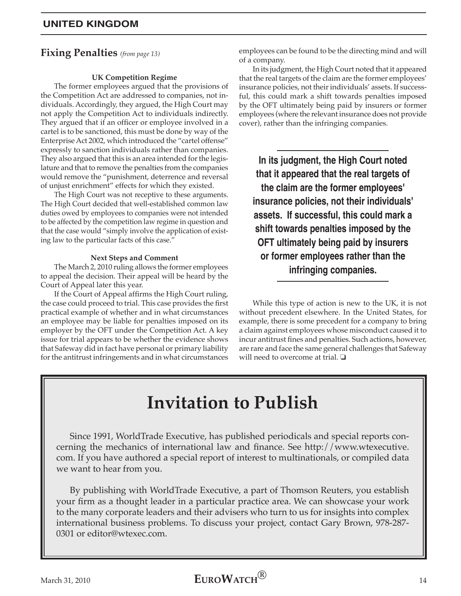# **Fixing Penalties** *(from page 13)*

### **UK Competition Regime**

The former employees argued that the provisions of the Competition Act are addressed to companies, not individuals. Accordingly, they argued, the High Court may not apply the Competition Act to individuals indirectly. They argued that if an officer or employee involved in a cartel is to be sanctioned, this must be done by way of the Enterprise Act 2002, which introduced the "cartel offense" expressly to sanction individuals rather than companies. They also argued that this is an area intended for the legislature and that to remove the penalties from the companies would remove the "punishment, deterrence and reversal of unjust enrichment" effects for which they existed.

The High Court was not receptive to these arguments. The High Court decided that well-established common law duties owed by employees to companies were not intended to be affected by the competition law regime in question and that the case would "simply involve the application of existing law to the particular facts of this case."

### **Next Steps and Comment**

The March 2, 2010 ruling allows the former employees to appeal the decision. Their appeal will be heard by the Court of Appeal later this year.

If the Court of Appeal affirms the High Court ruling, the case could proceed to trial. This case provides the first practical example of whether and in what circumstances an employee may be liable for penalties imposed on its employer by the OFT under the Competition Act. A key issue for trial appears to be whether the evidence shows that Safeway did in fact have personal or primary liability for the antitrust infringements and in what circumstances

employees can be found to be the directing mind and will of a company.

In its judgment, the High Court noted that it appeared that the real targets of the claim are the former employees' insurance policies, not their individuals' assets. If successful, this could mark a shift towards penalties imposed by the OFT ultimately being paid by insurers or former employees (where the relevant insurance does not provide cover), rather than the infringing companies.

**In its judgment, the High Court noted that it appeared that the real targets of the claim are the former employees' insurance policies, not their individuals' assets. If successful, this could mark a shift towards penalties imposed by the OFT ultimately being paid by insurers or former employees rather than the infringing companies.**

While this type of action is new to the UK, it is not without precedent elsewhere. In the United States, for example, there is some precedent for a company to bring a claim against employees whose misconduct caused it to incur antitrust fines and penalties. Such actions, however, are rare and face the same general challenges that Safeway will need to overcome at trial.  $\square$ 

# **Invitation to Publish**

Since 1991, WorldTrade Executive, has published periodicals and special reports concerning the mechanics of international law and finance. See http://www.wtexecutive. com. If you have authored a special report of interest to multinationals, or compiled data we want to hear from you.

By publishing with WorldTrade Executive, a part of Thomson Reuters, you establish your firm as a thought leader in a particular practice area. We can showcase your work to the many corporate leaders and their advisers who turn to us for insights into complex international business problems. To discuss your project, contact Gary Brown, 978-287- 0301 or editor@wtexec.com.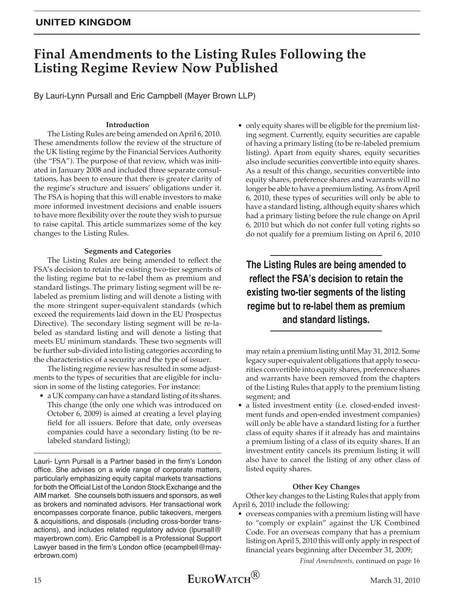### **United Kingdom**

# **Final Amendments to the Listing Rules Following the Listing Regime Review Now Published**

By Lauri-Lynn Pursall and Eric Campbell (Mayer Brown LLP)

### **Introduction**

The Listing Rules are being amended on April 6, 2010. These amendments follow the review of the structure of the UK listing regime by the Financial Services Authority (the "FSA"). The purpose of that review, which was initiated in January 2008 and included three separate consultations, has been to ensure that there is greater clarity of the regime's structure and issuers' obligations under it. The FSA is hoping that this will enable investors to make more informed investment decisions and enable issuers to have more flexibility over the route they wish to pursue to raise capital. This article summarizes some of the key changes to the Listing Rules.

#### **Segments and Categories**

The Listing Rules are being amended to reflect the FSA's decision to retain the existing two-tier segments of the listing regime but to re-label them as premium and standard listings. The primary listing segment will be relabeled as premium listing and will denote a listing with the more stringent super-equivalent standards (which exceed the requirements laid down in the EU Prospectus Directive). The secondary listing segment will be re-labeled as standard listing and will denote a listing that meets EU minimum standards. These two segments will be further sub-divided into listing categories according to the characteristics of a security and the type of issuer.

The listing regime review has resulted in some adjustments to the types of securities that are eligible for inclusion in some of the listing categories. For instance:

• a UK company can have a standard listing of its shares. This change (the only one which was introduced on October 6, 2009) is aimed at creating a level playing field for all issuers. Before that date, only overseas companies could have a secondary listing (to be relabeled standard listing);

Lauri- Lynn Pursall is a Partner based in the firm's London office. She advises on a wide range of corporate matters, particularly emphasizing equity capital markets transactions for both the Official List of the London Stock Exchange and the AIM market. She counsels both issuers and sponsors, as well as brokers and nominated advisors. Her transactional work encompasses corporate finance, public takeovers, mergers & acquisitions, and disposals (including cross-border transactions), and includes related regulatory advice (lpursall@ mayerbrown.com). Eric Campbell is a Professional Support Lawyer based in the firm's London office (ecampbell@mayerbrown.com)

• only equity shares will be eligible for the premium listing segment. Currently, equity securities are capable of having a primary listing (to be re-labeled premium listing). Apart from equity shares, equity securities also include securities convertible into equity shares. As a result of this change, securities convertible into equity shares, preference shares and warrants will no longer be able to have a premium listing. As from April 6, 2010, these types of securities will only be able to have a standard listing, although equity shares which had a primary listing before the rule change on April 6, 2010 but which do not confer full voting rights so do not qualify for a premium listing on April 6, 2010

**The Listing Rules are being amended to reflect the FSA's decision to retain the existing two-tier segments of the listing regime but to re-label them as premium and standard listings.**

may retain a premium listing until May 31, 2012. Some legacy super-equivalent obligations that apply to securities convertible into equity shares, preference shares and warrants have been removed from the chapters of the Listing Rules that apply to the premium listing segment; and

• a listed investment entity (i.e. closed-ended investment funds and open-ended investment companies) will only be able have a standard listing for a further class of equity shares if it already has and maintains a premium listing of a class of its equity shares. If an investment entity cancels its premium listing it will also have to cancel the listing of any other class of listed equity shares.

### **Other Key Changes**

Other key changes to the Listing Rules that apply from April 6, 2010 include the following:

• overseas companies with a premium listing will have to "comply or explain" against the UK Combined Code. For an overseas company that has a premium listing on April 5, 2010 this will only apply in respect of financial years beginning after December 31, 2009;

*Final Amendments,* continued on page 16